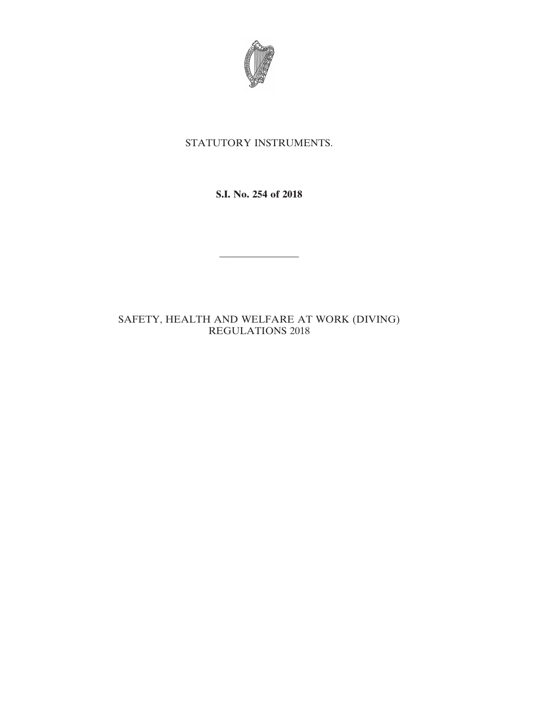

# STATUTORY INSTRUMENTS.

**S.I. No. 254 of 2018**

————————

# SAFETY, HEALTH AND WELFARE AT WORK (DIVING) REGULATIONS 2018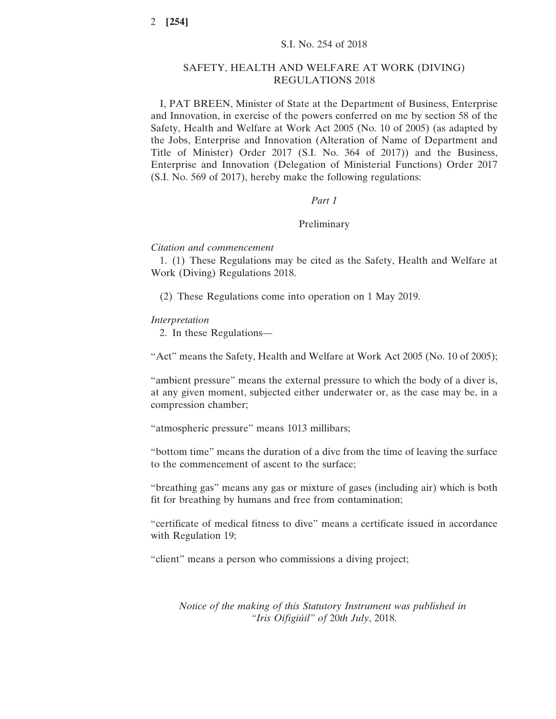### SAFETY, HEALTH AND WELFARE AT WORK (DIVING) REGULATIONS 2018

I, PAT BREEN, Minister of State at the Department of Business, Enterprise and Innovation, in exercise of the powers conferred on me by section 58 of the Safety, Health and Welfare at Work Act 2005 (No. 10 of 2005) (as adapted by the Jobs, Enterprise and Innovation (Alteration of Name of Department and Title of Minister) Order 2017 (S.I. No. 364 of 2017)) and the Business, Enterprise and Innovation (Delegation of Ministerial Functions) Order 2017 (S.I. No. 569 of 2017), hereby make the following regulations:

### *Part 1*

#### Preliminary

### *Citation and commencement*

1. (1) These Regulations may be cited as the Safety, Health and Welfare at Work (Diving) Regulations 2018.

(2) These Regulations come into operation on 1 May 2019.

#### *Interpretation*

2. In these Regulations—

"Act" means the Safety, Health and Welfare at Work Act 2005 (No. 10 of 2005);

"ambient pressure" means the external pressure to which the body of a diver is, at any given moment, subjected either underwater or, as the case may be, in a compression chamber;

"atmospheric pressure" means 1013 millibars;

"bottom time" means the duration of a dive from the time of leaving the surface to the commencement of ascent to the surface;

"breathing gas" means any gas or mixture of gases (including air) which is both fit for breathing by humans and free from contamination;

"certificate of medical fitness to dive" means a certificate issued in accordance with Regulation 19;

"client" means a person who commissions a diving project;

*Notice of the making of this Statutory Instrument was published in "Iris Oifigiúil" of* 20*th July*, 2018.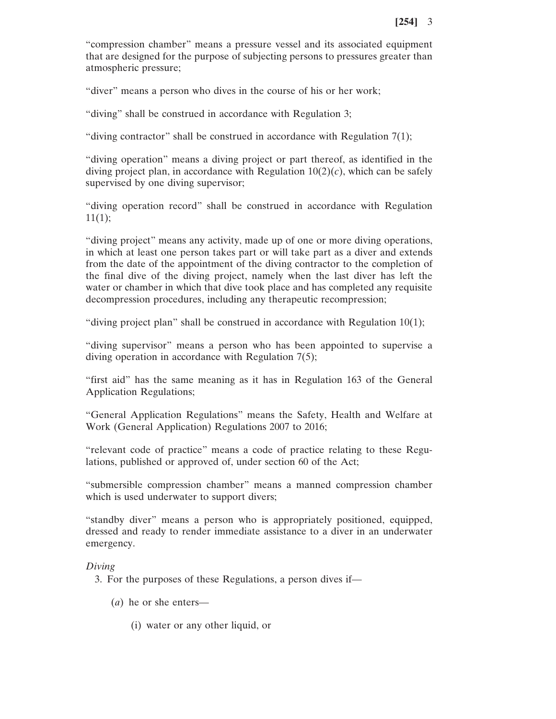"compression chamber" means a pressure vessel and its associated equipment that are designed for the purpose of subjecting persons to pressures greater than atmospheric pressure;

"diver" means a person who dives in the course of his or her work;

"diving" shall be construed in accordance with Regulation 3;

"diving contractor" shall be construed in accordance with Regulation  $7(1)$ ;

"diving operation" means a diving project or part thereof, as identified in the diving project plan, in accordance with Regulation  $10(2)(c)$ , which can be safely supervised by one diving supervisor;

"diving operation record" shall be construed in accordance with Regulation  $11(1);$ 

"diving project" means any activity, made up of one or more diving operations, in which at least one person takes part or will take part as a diver and extends from the date of the appointment of the diving contractor to the completion of the final dive of the diving project, namely when the last diver has left the water or chamber in which that dive took place and has completed any requisite decompression procedures, including any therapeutic recompression;

"diving project plan" shall be construed in accordance with Regulation 10(1);

"diving supervisor" means a person who has been appointed to supervise a diving operation in accordance with Regulation 7(5);

"first aid" has the same meaning as it has in Regulation 163 of the General Application Regulations;

"General Application Regulations" means the Safety, Health and Welfare at Work (General Application) Regulations 2007 to 2016;

"relevant code of practice" means a code of practice relating to these Regulations, published or approved of, under section 60 of the Act;

"submersible compression chamber" means a manned compression chamber which is used underwater to support divers;

"standby diver" means a person who is appropriately positioned, equipped, dressed and ready to render immediate assistance to a diver in an underwater emergency.

### *Diving*

3. For the purposes of these Regulations, a person dives if—

- (*a*) he or she enters—
	- (i) water or any other liquid, or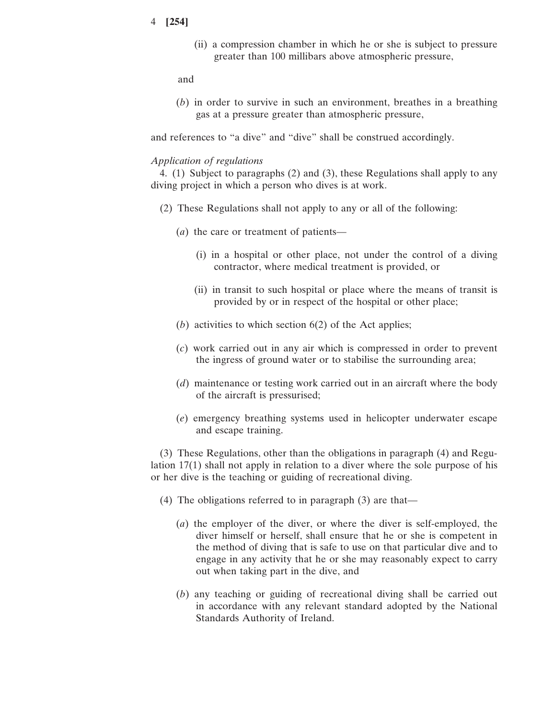(ii) a compression chamber in which he or she is subject to pressure greater than 100 millibars above atmospheric pressure,

and

(*b*) in order to survive in such an environment, breathes in a breathing gas at a pressure greater than atmospheric pressure,

and references to "a dive" and "dive" shall be construed accordingly.

#### *Application of regulations*

4. (1) Subject to paragraphs (2) and (3), these Regulations shall apply to any diving project in which a person who dives is at work.

- (2) These Regulations shall not apply to any or all of the following:
	- (*a*) the care or treatment of patients—
		- (i) in a hospital or other place, not under the control of a diving contractor, where medical treatment is provided, or
		- (ii) in transit to such hospital or place where the means of transit is provided by or in respect of the hospital or other place;
	- (*b*) activities to which section 6(2) of the Act applies;
	- (*c*) work carried out in any air which is compressed in order to prevent the ingress of ground water or to stabilise the surrounding area;
	- (*d*) maintenance or testing work carried out in an aircraft where the body of the aircraft is pressurised;
	- (*e*) emergency breathing systems used in helicopter underwater escape and escape training.

(3) These Regulations, other than the obligations in paragraph (4) and Regulation 17(1) shall not apply in relation to a diver where the sole purpose of his or her dive is the teaching or guiding of recreational diving.

- (4) The obligations referred to in paragraph (3) are that—
	- (*a*) the employer of the diver, or where the diver is self-employed, the diver himself or herself, shall ensure that he or she is competent in the method of diving that is safe to use on that particular dive and to engage in any activity that he or she may reasonably expect to carry out when taking part in the dive, and
	- (*b*) any teaching or guiding of recreational diving shall be carried out in accordance with any relevant standard adopted by the National Standards Authority of Ireland.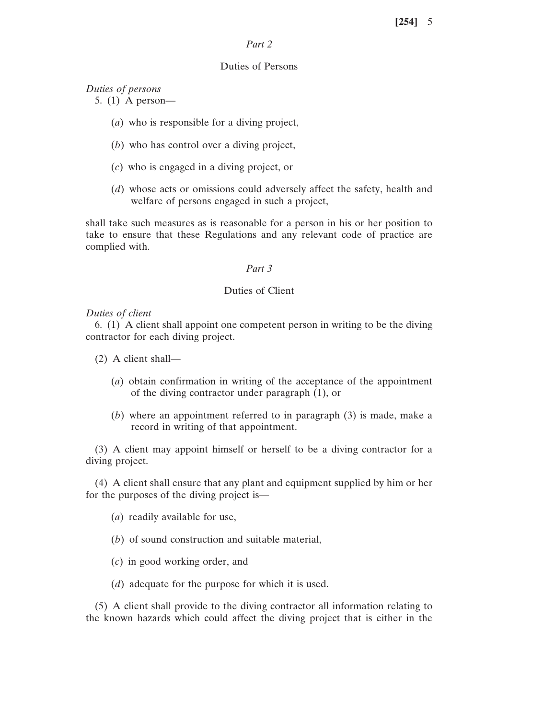# *Part 2*

#### Duties of Persons

*Duties of persons*

5. (1) A person—

- (*a*) who is responsible for a diving project,
- (*b*) who has control over a diving project,
- (*c*) who is engaged in a diving project, or
- (*d*) whose acts or omissions could adversely affect the safety, health and welfare of persons engaged in such a project,

shall take such measures as is reasonable for a person in his or her position to take to ensure that these Regulations and any relevant code of practice are complied with.

#### *Part 3*

### Duties of Client

#### *Duties of client*

6. (1) A client shall appoint one competent person in writing to be the diving contractor for each diving project.

(2) A client shall—

- (*a*) obtain confirmation in writing of the acceptance of the appointment of the diving contractor under paragraph (1), or
- (*b*) where an appointment referred to in paragraph (3) is made, make a record in writing of that appointment.

(3) A client may appoint himself or herself to be a diving contractor for a diving project.

(4) A client shall ensure that any plant and equipment supplied by him or her for the purposes of the diving project is—

- (*a*) readily available for use,
- (*b*) of sound construction and suitable material,
- (*c*) in good working order, and
- (*d*) adequate for the purpose for which it is used.

(5) A client shall provide to the diving contractor all information relating to the known hazards which could affect the diving project that is either in the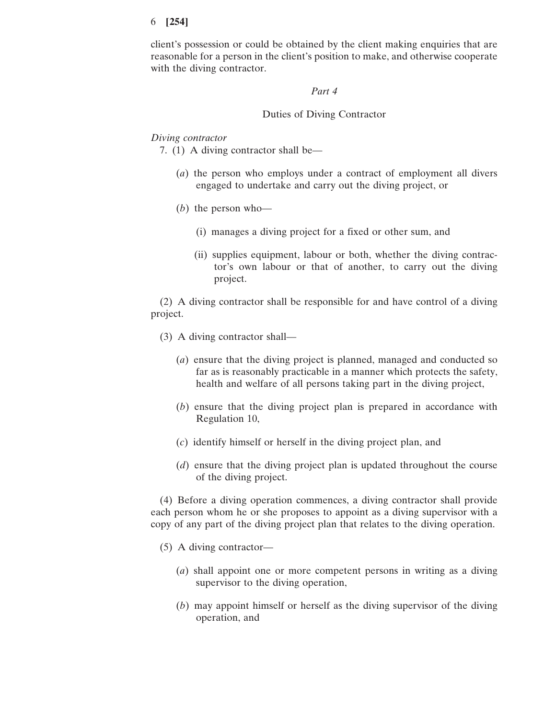client's possession or could be obtained by the client making enquiries that are reasonable for a person in the client's position to make, and otherwise cooperate with the diving contractor.

#### *Part 4*

### Duties of Diving Contractor

#### *Diving contractor*

7. (1) A diving contractor shall be—

- (*a*) the person who employs under a contract of employment all divers engaged to undertake and carry out the diving project, or
- (*b*) the person who—
	- (i) manages a diving project for a fixed or other sum, and
	- (ii) supplies equipment, labour or both, whether the diving contractor's own labour or that of another, to carry out the diving project.

(2) A diving contractor shall be responsible for and have control of a diving project.

- (3) A diving contractor shall—
	- (*a*) ensure that the diving project is planned, managed and conducted so far as is reasonably practicable in a manner which protects the safety, health and welfare of all persons taking part in the diving project,
	- (*b*) ensure that the diving project plan is prepared in accordance with Regulation 10,
	- (*c*) identify himself or herself in the diving project plan, and
	- (*d*) ensure that the diving project plan is updated throughout the course of the diving project.

(4) Before a diving operation commences, a diving contractor shall provide each person whom he or she proposes to appoint as a diving supervisor with a copy of any part of the diving project plan that relates to the diving operation.

- (5) A diving contractor—
	- (*a*) shall appoint one or more competent persons in writing as a diving supervisor to the diving operation,
	- (*b*) may appoint himself or herself as the diving supervisor of the diving operation, and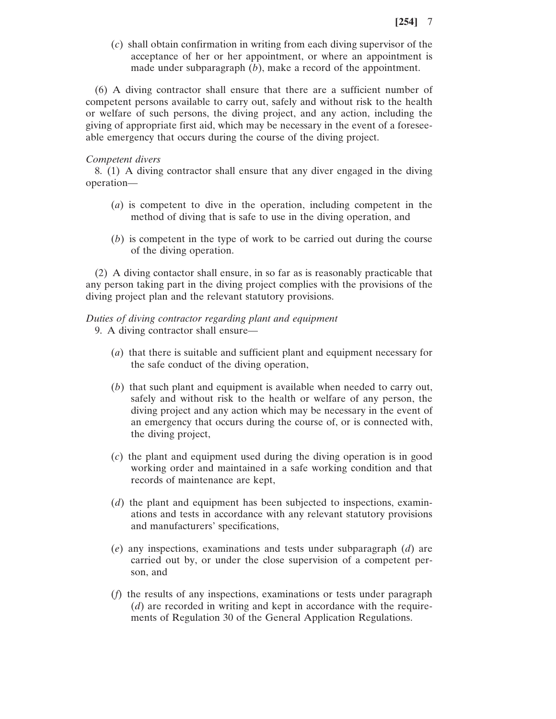(*c*) shall obtain confirmation in writing from each diving supervisor of the acceptance of her or her appointment, or where an appointment is made under subparagraph (*b*), make a record of the appointment.

(6) A diving contractor shall ensure that there are a sufficient number of competent persons available to carry out, safely and without risk to the health or welfare of such persons, the diving project, and any action, including the giving of appropriate first aid, which may be necessary in the event of a foreseeable emergency that occurs during the course of the diving project.

#### *Competent divers*

8. (1) A diving contractor shall ensure that any diver engaged in the diving operation—

- (*a*) is competent to dive in the operation, including competent in the method of diving that is safe to use in the diving operation, and
- (*b*) is competent in the type of work to be carried out during the course of the diving operation.

(2) A diving contactor shall ensure, in so far as is reasonably practicable that any person taking part in the diving project complies with the provisions of the diving project plan and the relevant statutory provisions.

# *Duties of diving contractor regarding plant and equipment*

9. A diving contractor shall ensure—

- (*a*) that there is suitable and sufficient plant and equipment necessary for the safe conduct of the diving operation,
- (*b*) that such plant and equipment is available when needed to carry out, safely and without risk to the health or welfare of any person, the diving project and any action which may be necessary in the event of an emergency that occurs during the course of, or is connected with, the diving project,
- (*c*) the plant and equipment used during the diving operation is in good working order and maintained in a safe working condition and that records of maintenance are kept,
- (*d*) the plant and equipment has been subjected to inspections, examinations and tests in accordance with any relevant statutory provisions and manufacturers' specifications,
- (*e*) any inspections, examinations and tests under subparagraph (*d*) are carried out by, or under the close supervision of a competent person, and
- (*f*) the results of any inspections, examinations or tests under paragraph (*d*) are recorded in writing and kept in accordance with the requirements of Regulation 30 of the General Application Regulations.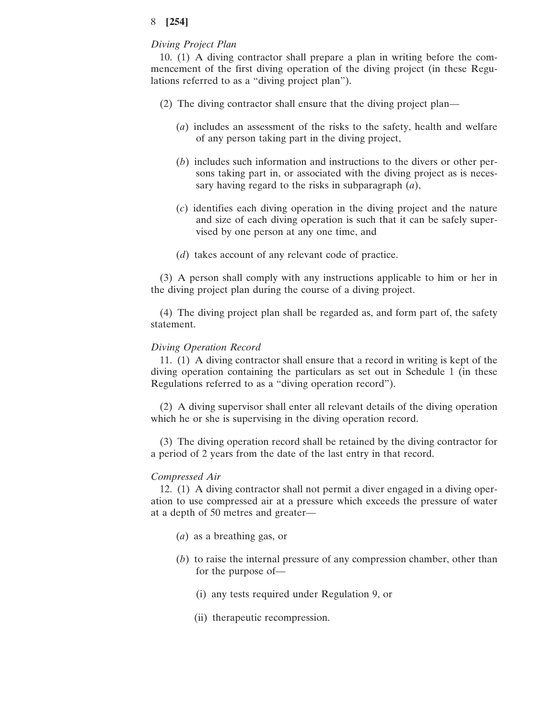#### *Diving Project Plan*

10. (1) A diving contractor shall prepare a plan in writing before the commencement of the first diving operation of the diving project (in these Regulations referred to as a "diving project plan").

- (2) The diving contractor shall ensure that the diving project plan—
	- (*a*) includes an assessment of the risks to the safety, health and welfare of any person taking part in the diving project,
	- (*b*) includes such information and instructions to the divers or other persons taking part in, or associated with the diving project as is necessary having regard to the risks in subparagraph (*a*),
	- (*c*) identifies each diving operation in the diving project and the nature and size of each diving operation is such that it can be safely supervised by one person at any one time, and
	- (*d*) takes account of any relevant code of practice.

(3) A person shall comply with any instructions applicable to him or her in the diving project plan during the course of a diving project.

(4) The diving project plan shall be regarded as, and form part of, the safety statement.

#### *Diving Operation Record*

11. (1) A diving contractor shall ensure that a record in writing is kept of the diving operation containing the particulars as set out in Schedule 1 (in these Regulations referred to as a "diving operation record").

(2) A diving supervisor shall enter all relevant details of the diving operation which he or she is supervising in the diving operation record.

(3) The diving operation record shall be retained by the diving contractor for a period of 2 years from the date of the last entry in that record.

#### *Compressed Air*

12. (1) A diving contractor shall not permit a diver engaged in a diving operation to use compressed air at a pressure which exceeds the pressure of water at a depth of 50 metres and greater—

- (*a*) as a breathing gas, or
- (*b*) to raise the internal pressure of any compression chamber, other than for the purpose of—
	- (i) any tests required under Regulation 9, or
	- (ii) therapeutic recompression.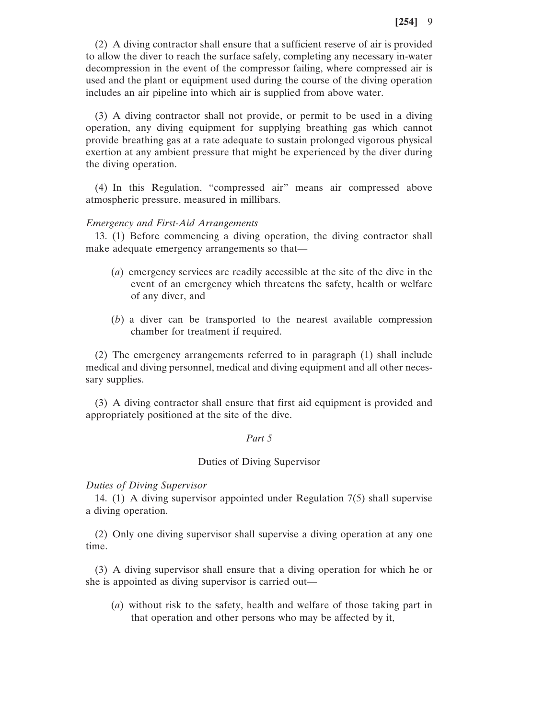(2) A diving contractor shall ensure that a sufficient reserve of air is provided to allow the diver to reach the surface safely, completing any necessary in-water decompression in the event of the compressor failing, where compressed air is used and the plant or equipment used during the course of the diving operation includes an air pipeline into which air is supplied from above water.

(3) A diving contractor shall not provide, or permit to be used in a diving operation, any diving equipment for supplying breathing gas which cannot provide breathing gas at a rate adequate to sustain prolonged vigorous physical exertion at any ambient pressure that might be experienced by the diver during the diving operation.

(4) In this Regulation, "compressed air" means air compressed above atmospheric pressure, measured in millibars.

### *Emergency and First-Aid Arrangements*

13. (1) Before commencing a diving operation, the diving contractor shall make adequate emergency arrangements so that—

- (*a*) emergency services are readily accessible at the site of the dive in the event of an emergency which threatens the safety, health or welfare of any diver, and
- (*b*) a diver can be transported to the nearest available compression chamber for treatment if required.

(2) The emergency arrangements referred to in paragraph (1) shall include medical and diving personnel, medical and diving equipment and all other necessary supplies.

(3) A diving contractor shall ensure that first aid equipment is provided and appropriately positioned at the site of the dive.

### *Part 5*

### Duties of Diving Supervisor

*Duties of Diving Supervisor*

14. (1) A diving supervisor appointed under Regulation 7(5) shall supervise a diving operation.

(2) Only one diving supervisor shall supervise a diving operation at any one time.

(3) A diving supervisor shall ensure that a diving operation for which he or she is appointed as diving supervisor is carried out—

(*a*) without risk to the safety, health and welfare of those taking part in that operation and other persons who may be affected by it,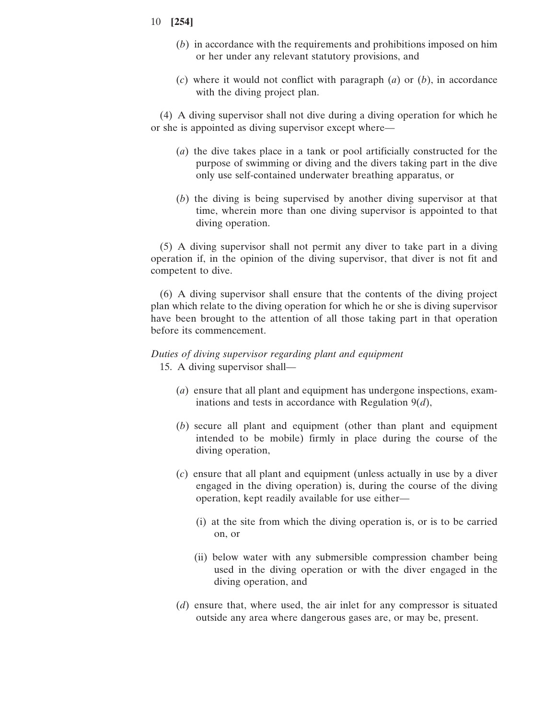- 10 **[254]**
	- (*b*) in accordance with the requirements and prohibitions imposed on him or her under any relevant statutory provisions, and
	- (*c*) where it would not conflict with paragraph (*a*) or (*b*), in accordance with the diving project plan.

(4) A diving supervisor shall not dive during a diving operation for which he or she is appointed as diving supervisor except where—

- (*a*) the dive takes place in a tank or pool artificially constructed for the purpose of swimming or diving and the divers taking part in the dive only use self-contained underwater breathing apparatus, or
- (*b*) the diving is being supervised by another diving supervisor at that time, wherein more than one diving supervisor is appointed to that diving operation.

(5) A diving supervisor shall not permit any diver to take part in a diving operation if, in the opinion of the diving supervisor, that diver is not fit and competent to dive.

(6) A diving supervisor shall ensure that the contents of the diving project plan which relate to the diving operation for which he or she is diving supervisor have been brought to the attention of all those taking part in that operation before its commencement.

# *Duties of diving supervisor regarding plant and equipment* 15. A diving supervisor shall—

- (*a*) ensure that all plant and equipment has undergone inspections, examinations and tests in accordance with Regulation 9(*d*),
- (*b*) secure all plant and equipment (other than plant and equipment intended to be mobile) firmly in place during the course of the diving operation,
- (*c*) ensure that all plant and equipment (unless actually in use by a diver engaged in the diving operation) is, during the course of the diving operation, kept readily available for use either—
	- (i) at the site from which the diving operation is, or is to be carried on, or
	- (ii) below water with any submersible compression chamber being used in the diving operation or with the diver engaged in the diving operation, and
- (*d*) ensure that, where used, the air inlet for any compressor is situated outside any area where dangerous gases are, or may be, present.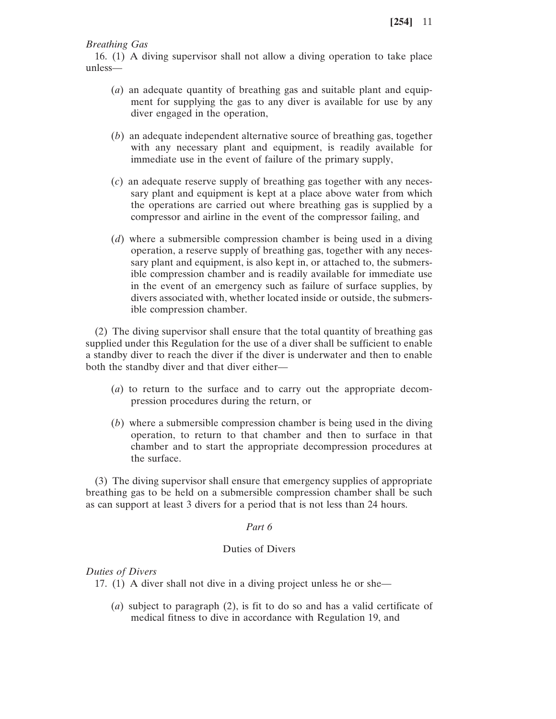*Breathing Gas*

16. (1) A diving supervisor shall not allow a diving operation to take place unless—

- (*a*) an adequate quantity of breathing gas and suitable plant and equipment for supplying the gas to any diver is available for use by any diver engaged in the operation,
- (*b*) an adequate independent alternative source of breathing gas, together with any necessary plant and equipment, is readily available for immediate use in the event of failure of the primary supply,
- (*c*) an adequate reserve supply of breathing gas together with any necessary plant and equipment is kept at a place above water from which the operations are carried out where breathing gas is supplied by a compressor and airline in the event of the compressor failing, and
- (*d*) where a submersible compression chamber is being used in a diving operation, a reserve supply of breathing gas, together with any necessary plant and equipment, is also kept in, or attached to, the submersible compression chamber and is readily available for immediate use in the event of an emergency such as failure of surface supplies, by divers associated with, whether located inside or outside, the submersible compression chamber.

(2) The diving supervisor shall ensure that the total quantity of breathing gas supplied under this Regulation for the use of a diver shall be sufficient to enable a standby diver to reach the diver if the diver is underwater and then to enable both the standby diver and that diver either—

- (*a*) to return to the surface and to carry out the appropriate decompression procedures during the return, or
- (*b*) where a submersible compression chamber is being used in the diving operation, to return to that chamber and then to surface in that chamber and to start the appropriate decompression procedures at the surface.

(3) The diving supervisor shall ensure that emergency supplies of appropriate breathing gas to be held on a submersible compression chamber shall be such as can support at least 3 divers for a period that is not less than 24 hours.

# *Part 6*

# Duties of Divers

# *Duties of Divers*

17. (1) A diver shall not dive in a diving project unless he or she—

(*a*) subject to paragraph (2), is fit to do so and has a valid certificate of medical fitness to dive in accordance with Regulation 19, and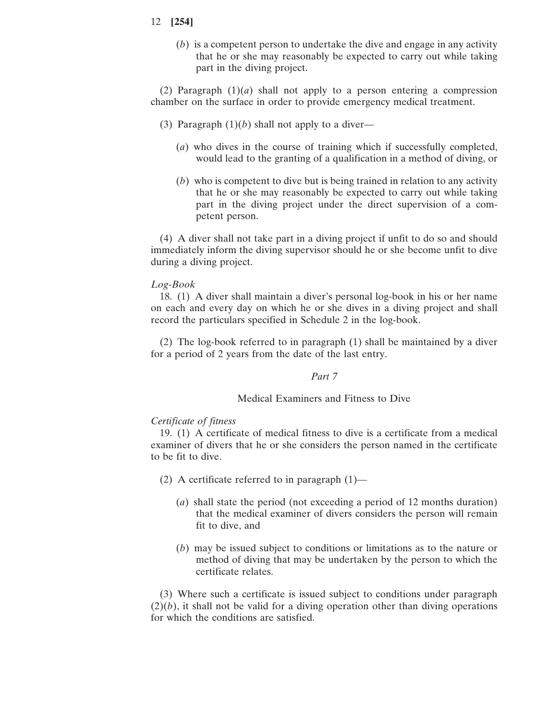(*b*) is a competent person to undertake the dive and engage in any activity that he or she may reasonably be expected to carry out while taking part in the diving project.

(2) Paragraph  $(1)(a)$  shall not apply to a person entering a compression chamber on the surface in order to provide emergency medical treatment.

- (3) Paragraph  $(1)(b)$  shall not apply to a diver—
	- (*a*) who dives in the course of training which if successfully completed, would lead to the granting of a qualification in a method of diving, or
	- (*b*) who is competent to dive but is being trained in relation to any activity that he or she may reasonably be expected to carry out while taking part in the diving project under the direct supervision of a competent person.

(4) A diver shall not take part in a diving project if unfit to do so and should immediately inform the diving supervisor should he or she become unfit to dive during a diving project.

### *Log-Book*

18. (1) A diver shall maintain a diver's personal log-book in his or her name on each and every day on which he or she dives in a diving project and shall record the particulars specified in Schedule 2 in the log-book.

(2) The log-book referred to in paragraph (1) shall be maintained by a diver for a period of 2 years from the date of the last entry.

### *Part 7*

### Medical Examiners and Fitness to Dive

#### *Certificate of fitness*

19. (1) A certificate of medical fitness to dive is a certificate from a medical examiner of divers that he or she considers the person named in the certificate to be fit to dive.

- (2) A certificate referred to in paragraph  $(1)$ 
	- (*a*) shall state the period (not exceeding a period of 12 months duration) that the medical examiner of divers considers the person will remain fit to dive, and
	- (*b*) may be issued subject to conditions or limitations as to the nature or method of diving that may be undertaken by the person to which the certificate relates.

(3) Where such a certificate is issued subject to conditions under paragraph  $(2)(b)$ , it shall not be valid for a diving operation other than diving operations for which the conditions are satisfied.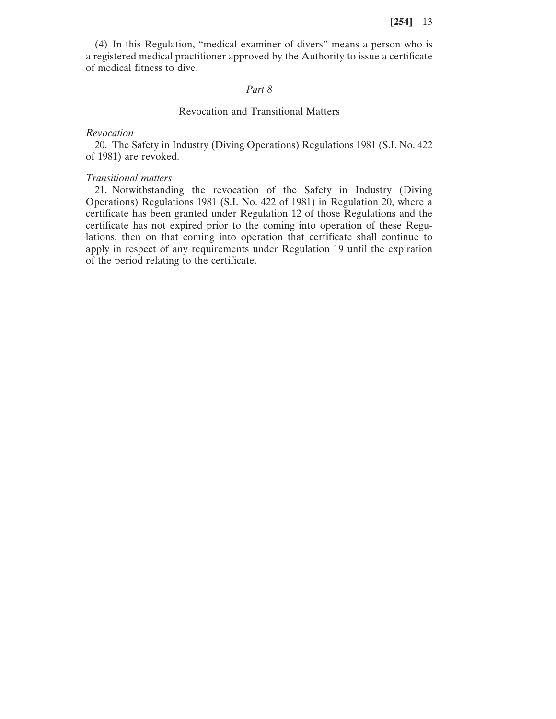(4) In this Regulation, "medical examiner of divers" means a person who is a registered medical practitioner approved by the Authority to issue a certificate of medical fitness to dive.

### *Part 8*

### Revocation and Transitional Matters

#### *Revocation*

20. The Safety in Industry (Diving Operations) Regulations 1981 (S.I. No. 422 of 1981) are revoked.

#### *Transitional matters*

21. Notwithstanding the revocation of the Safety in Industry (Diving Operations) Regulations 1981 (S.I. No. 422 of 1981) in Regulation 20, where a certificate has been granted under Regulation 12 of those Regulations and the certificate has not expired prior to the coming into operation of these Regulations, then on that coming into operation that certificate shall continue to apply in respect of any requirements under Regulation 19 until the expiration of the period relating to the certificate.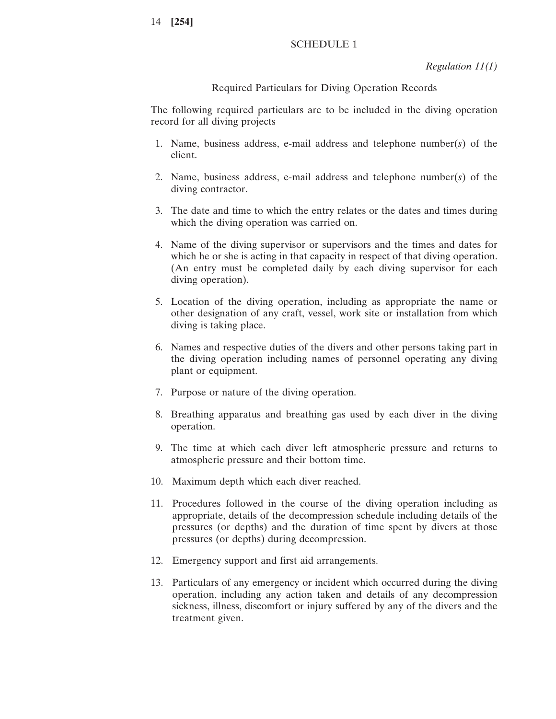### SCHEDULE 1

*Regulation 11(1)*

#### Required Particulars for Diving Operation Records

The following required particulars are to be included in the diving operation record for all diving projects

- 1. Name, business address, e-mail address and telephone number(*s*) of the client.
- 2. Name, business address, e-mail address and telephone number(*s*) of the diving contractor.
- 3. The date and time to which the entry relates or the dates and times during which the diving operation was carried on.
- 4. Name of the diving supervisor or supervisors and the times and dates for which he or she is acting in that capacity in respect of that diving operation. (An entry must be completed daily by each diving supervisor for each diving operation).
- 5. Location of the diving operation, including as appropriate the name or other designation of any craft, vessel, work site or installation from which diving is taking place.
- 6. Names and respective duties of the divers and other persons taking part in the diving operation including names of personnel operating any diving plant or equipment.
- 7. Purpose or nature of the diving operation.
- 8. Breathing apparatus and breathing gas used by each diver in the diving operation.
- 9. The time at which each diver left atmospheric pressure and returns to atmospheric pressure and their bottom time.
- 10. Maximum depth which each diver reached.
- 11. Procedures followed in the course of the diving operation including as appropriate, details of the decompression schedule including details of the pressures (or depths) and the duration of time spent by divers at those pressures (or depths) during decompression.
- 12. Emergency support and first aid arrangements.
- 13. Particulars of any emergency or incident which occurred during the diving operation, including any action taken and details of any decompression sickness, illness, discomfort or injury suffered by any of the divers and the treatment given.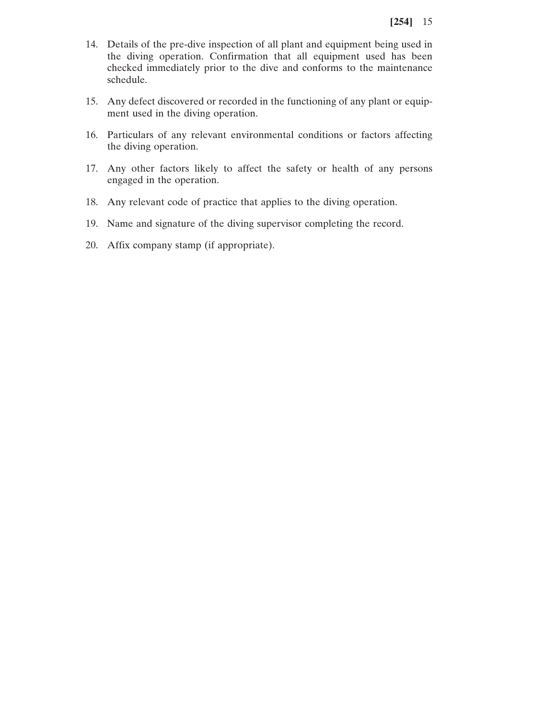- 14. Details of the pre-dive inspection of all plant and equipment being used in the diving operation. Confirmation that all equipment used has been checked immediately prior to the dive and conforms to the maintenance schedule.
- 15. Any defect discovered or recorded in the functioning of any plant or equipment used in the diving operation.
- 16. Particulars of any relevant environmental conditions or factors affecting the diving operation.
- 17. Any other factors likely to affect the safety or health of any persons engaged in the operation.
- 18. Any relevant code of practice that applies to the diving operation.
- 19. Name and signature of the diving supervisor completing the record.
- 20. Affix company stamp (if appropriate).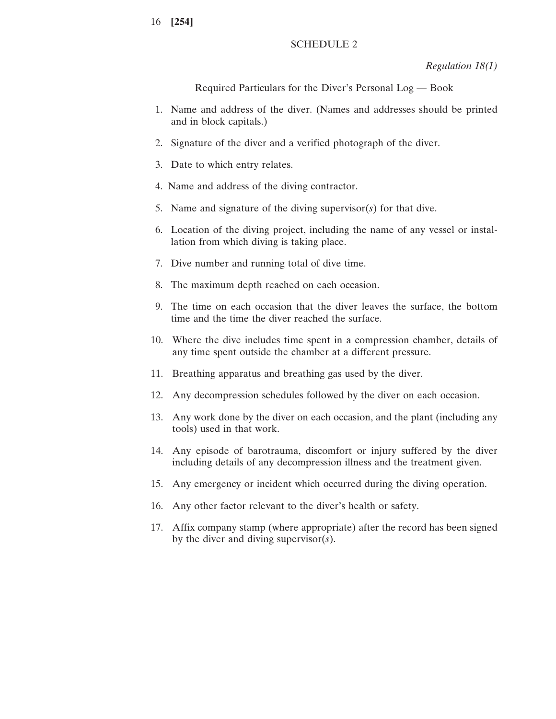# SCHEDULE 2

*Regulation 18(1)*

Required Particulars for the Diver's Personal Log — Book

- 1. Name and address of the diver. (Names and addresses should be printed and in block capitals.)
- 2. Signature of the diver and a verified photograph of the diver.
- 3. Date to which entry relates.
- 4. Name and address of the diving contractor.
- 5. Name and signature of the diving supervisor(*s*) for that dive.
- 6. Location of the diving project, including the name of any vessel or installation from which diving is taking place.
- 7. Dive number and running total of dive time.
- 8. The maximum depth reached on each occasion.
- 9. The time on each occasion that the diver leaves the surface, the bottom time and the time the diver reached the surface.
- 10. Where the dive includes time spent in a compression chamber, details of any time spent outside the chamber at a different pressure.
- 11. Breathing apparatus and breathing gas used by the diver.
- 12. Any decompression schedules followed by the diver on each occasion.
- 13. Any work done by the diver on each occasion, and the plant (including any tools) used in that work.
- 14. Any episode of barotrauma, discomfort or injury suffered by the diver including details of any decompression illness and the treatment given.
- 15. Any emergency or incident which occurred during the diving operation.
- 16. Any other factor relevant to the diver's health or safety.
- 17. Affix company stamp (where appropriate) after the record has been signed by the diver and diving supervisor(*s*).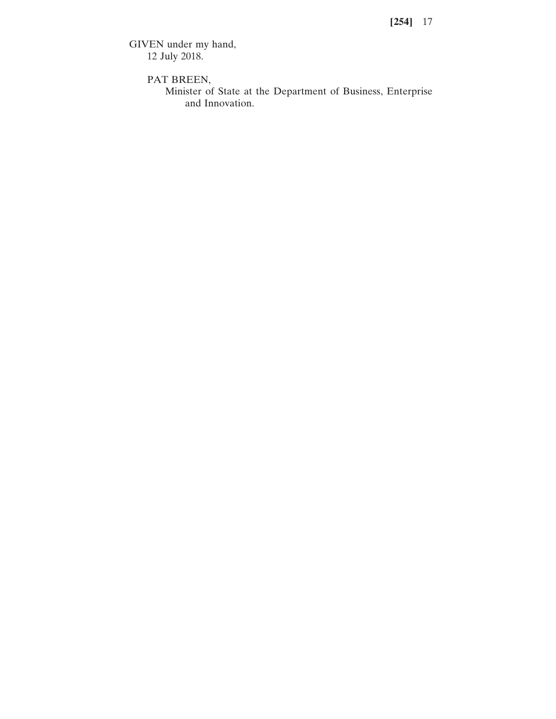GIVEN under my hand, 12 July 2018.

PAT BREEN,

Minister of State at the Department of Business, Enterprise and Innovation.